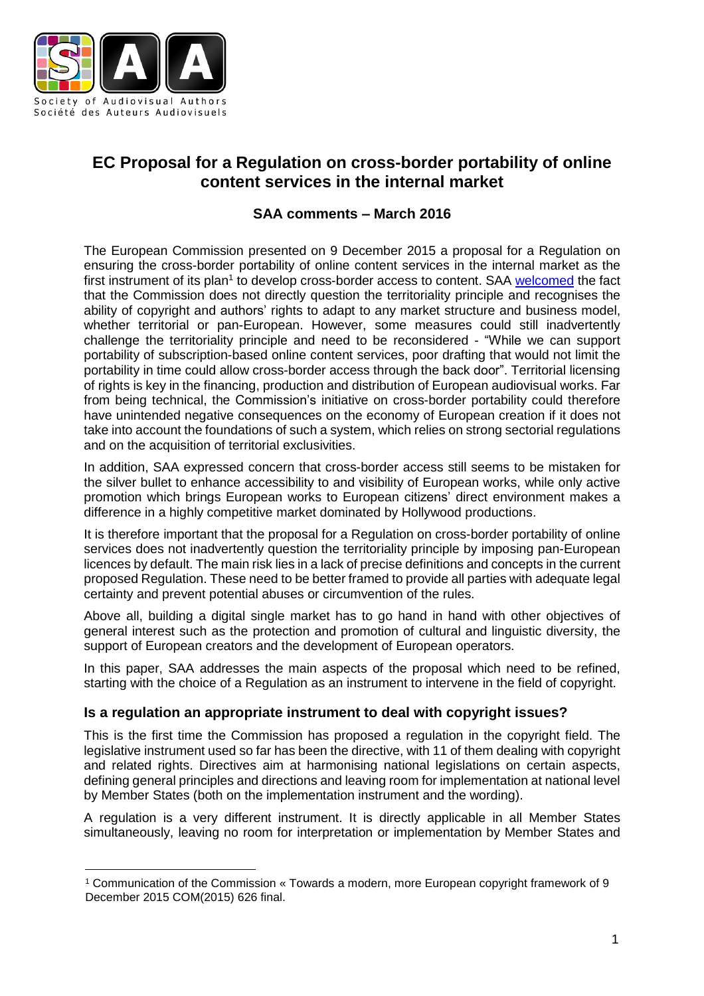

 $\overline{a}$ 

# **EC Proposal for a Regulation on cross-border portability of online content services in the internal market**

# **SAA comments – March 2016**

The European Commission presented on 9 December 2015 a proposal for a Regulation on ensuring the cross-border portability of online content services in the internal market as the first instrument of its plan<sup>1</sup> to develop cross-border access to content. SAA <u>[welcomed](http://www.saa-authors.eu/en/news/193/European-Copyright-Commission-commits-to-action-on-authors-remuneration&page=1)</u> the fact that the Commission does not directly question the territoriality principle and recognises the ability of copyright and authors' rights to adapt to any market structure and business model, whether territorial or pan-European. However, some measures could still inadvertently challenge the territoriality principle and need to be reconsidered - "While we can support portability of subscription-based online content services, poor drafting that would not limit the portability in time could allow cross-border access through the back door". Territorial licensing of rights is key in the financing, production and distribution of European audiovisual works. Far from being technical, the Commission's initiative on cross-border portability could therefore have unintended negative consequences on the economy of European creation if it does not take into account the foundations of such a system, which relies on strong sectorial regulations and on the acquisition of territorial exclusivities.

In addition, SAA expressed concern that cross-border access still seems to be mistaken for the silver bullet to enhance accessibility to and visibility of European works, while only active promotion which brings European works to European citizens' direct environment makes a difference in a highly competitive market dominated by Hollywood productions.

It is therefore important that the proposal for a Regulation on cross-border portability of online services does not inadvertently question the territoriality principle by imposing pan-European licences by default. The main risk lies in a lack of precise definitions and concepts in the current proposed Regulation. These need to be better framed to provide all parties with adequate legal certainty and prevent potential abuses or circumvention of the rules.

Above all, building a digital single market has to go hand in hand with other objectives of general interest such as the protection and promotion of cultural and linguistic diversity, the support of European creators and the development of European operators.

In this paper, SAA addresses the main aspects of the proposal which need to be refined, starting with the choice of a Regulation as an instrument to intervene in the field of copyright.

## **Is a regulation an appropriate instrument to deal with copyright issues?**

This is the first time the Commission has proposed a regulation in the copyright field. The legislative instrument used so far has been the directive, with 11 of them dealing with copyright and related rights. Directives aim at harmonising national legislations on certain aspects, defining general principles and directions and leaving room for implementation at national level by Member States (both on the implementation instrument and the wording).

A regulation is a very different instrument. It is directly applicable in all Member States simultaneously, leaving no room for interpretation or implementation by Member States and

<sup>1</sup> Communication of the Commission « Towards a modern, more European copyright framework of 9 December 2015 COM(2015) 626 final.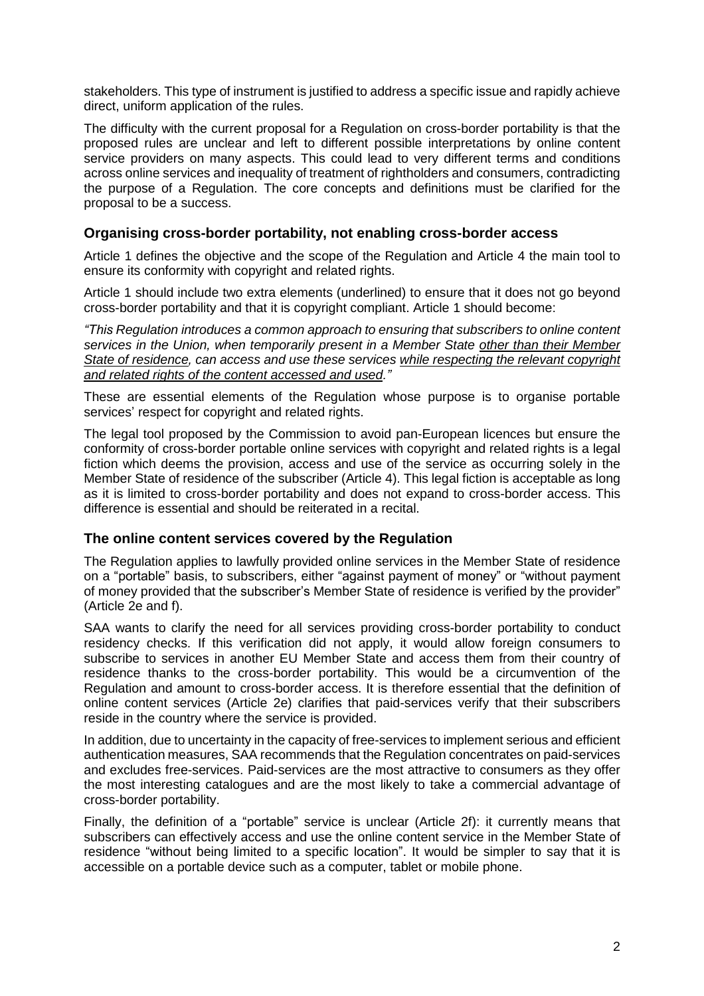stakeholders. This type of instrument is justified to address a specific issue and rapidly achieve direct, uniform application of the rules.

The difficulty with the current proposal for a Regulation on cross-border portability is that the proposed rules are unclear and left to different possible interpretations by online content service providers on many aspects. This could lead to very different terms and conditions across online services and inequality of treatment of rightholders and consumers, contradicting the purpose of a Regulation. The core concepts and definitions must be clarified for the proposal to be a success.

## **Organising cross-border portability, not enabling cross-border access**

Article 1 defines the objective and the scope of the Regulation and Article 4 the main tool to ensure its conformity with copyright and related rights.

Article 1 should include two extra elements (underlined) to ensure that it does not go beyond cross-border portability and that it is copyright compliant. Article 1 should become:

*"This Regulation introduces a common approach to ensuring that subscribers to online content services in the Union, when temporarily present in a Member State other than their Member State of residence, can access and use these services while respecting the relevant copyright and related rights of the content accessed and used."*

These are essential elements of the Regulation whose purpose is to organise portable services' respect for copyright and related rights.

The legal tool proposed by the Commission to avoid pan-European licences but ensure the conformity of cross-border portable online services with copyright and related rights is a legal fiction which deems the provision, access and use of the service as occurring solely in the Member State of residence of the subscriber (Article 4). This legal fiction is acceptable as long as it is limited to cross-border portability and does not expand to cross-border access. This difference is essential and should be reiterated in a recital.

#### **The online content services covered by the Regulation**

The Regulation applies to lawfully provided online services in the Member State of residence on a "portable" basis, to subscribers, either "against payment of money" or "without payment of money provided that the subscriber's Member State of residence is verified by the provider" (Article 2e and f).

SAA wants to clarify the need for all services providing cross-border portability to conduct residency checks. If this verification did not apply, it would allow foreign consumers to subscribe to services in another EU Member State and access them from their country of residence thanks to the cross-border portability. This would be a circumvention of the Regulation and amount to cross-border access. It is therefore essential that the definition of online content services (Article 2e) clarifies that paid-services verify that their subscribers reside in the country where the service is provided.

In addition, due to uncertainty in the capacity of free-services to implement serious and efficient authentication measures, SAA recommends that the Regulation concentrates on paid-services and excludes free-services. Paid-services are the most attractive to consumers as they offer the most interesting catalogues and are the most likely to take a commercial advantage of cross-border portability.

Finally, the definition of a "portable" service is unclear (Article 2f): it currently means that subscribers can effectively access and use the online content service in the Member State of residence "without being limited to a specific location". It would be simpler to say that it is accessible on a portable device such as a computer, tablet or mobile phone.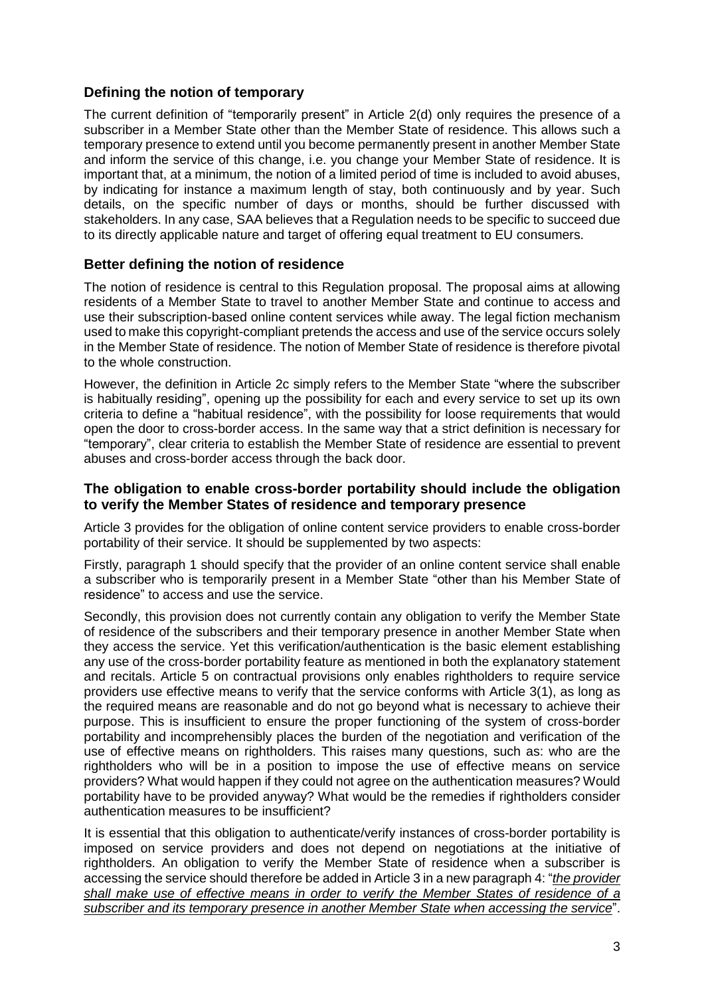# **Defining the notion of temporary**

The current definition of "temporarily present" in Article 2(d) only requires the presence of a subscriber in a Member State other than the Member State of residence. This allows such a temporary presence to extend until you become permanently present in another Member State and inform the service of this change, i.e. you change your Member State of residence. It is important that, at a minimum, the notion of a limited period of time is included to avoid abuses, by indicating for instance a maximum length of stay, both continuously and by year. Such details, on the specific number of days or months, should be further discussed with stakeholders. In any case, SAA believes that a Regulation needs to be specific to succeed due to its directly applicable nature and target of offering equal treatment to EU consumers.

## **Better defining the notion of residence**

The notion of residence is central to this Regulation proposal. The proposal aims at allowing residents of a Member State to travel to another Member State and continue to access and use their subscription-based online content services while away. The legal fiction mechanism used to make this copyright-compliant pretends the access and use of the service occurs solely in the Member State of residence. The notion of Member State of residence is therefore pivotal to the whole construction.

However, the definition in Article 2c simply refers to the Member State "where the subscriber is habitually residing", opening up the possibility for each and every service to set up its own criteria to define a "habitual residence", with the possibility for loose requirements that would open the door to cross-border access. In the same way that a strict definition is necessary for "temporary", clear criteria to establish the Member State of residence are essential to prevent abuses and cross-border access through the back door.

#### **The obligation to enable cross-border portability should include the obligation to verify the Member States of residence and temporary presence**

Article 3 provides for the obligation of online content service providers to enable cross-border portability of their service. It should be supplemented by two aspects:

Firstly, paragraph 1 should specify that the provider of an online content service shall enable a subscriber who is temporarily present in a Member State "other than his Member State of residence" to access and use the service.

Secondly, this provision does not currently contain any obligation to verify the Member State of residence of the subscribers and their temporary presence in another Member State when they access the service. Yet this verification/authentication is the basic element establishing any use of the cross-border portability feature as mentioned in both the explanatory statement and recitals. Article 5 on contractual provisions only enables rightholders to require service providers use effective means to verify that the service conforms with Article 3(1), as long as the required means are reasonable and do not go beyond what is necessary to achieve their purpose. This is insufficient to ensure the proper functioning of the system of cross-border portability and incomprehensibly places the burden of the negotiation and verification of the use of effective means on rightholders. This raises many questions, such as: who are the rightholders who will be in a position to impose the use of effective means on service providers? What would happen if they could not agree on the authentication measures? Would portability have to be provided anyway? What would be the remedies if rightholders consider authentication measures to be insufficient?

It is essential that this obligation to authenticate/verify instances of cross-border portability is imposed on service providers and does not depend on negotiations at the initiative of rightholders. An obligation to verify the Member State of residence when a subscriber is accessing the service should therefore be added in Article 3 in a new paragraph 4: "*the provider shall make use of effective means in order to verify the Member States of residence of a subscriber and its temporary presence in another Member State when accessing the service*".